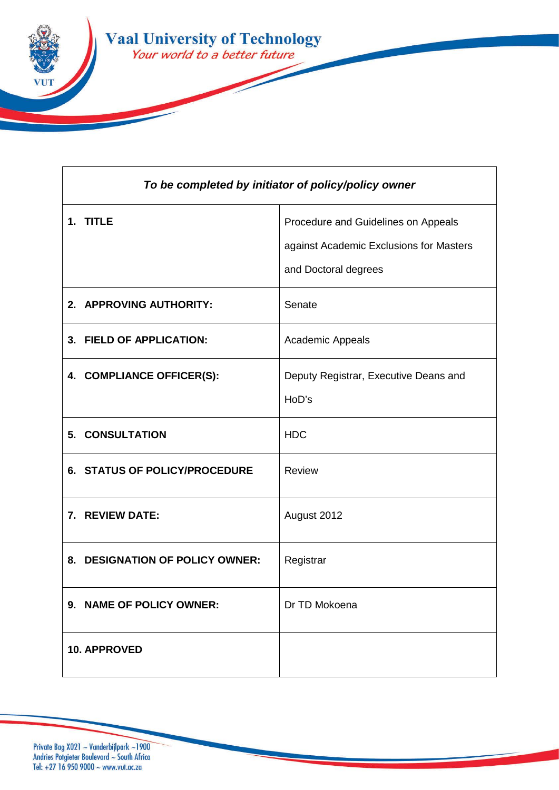

| To be completed by initiator of policy/policy owner |                                                                                                        |
|-----------------------------------------------------|--------------------------------------------------------------------------------------------------------|
| 1. TITLE                                            | Procedure and Guidelines on Appeals<br>against Academic Exclusions for Masters<br>and Doctoral degrees |
| 2. APPROVING AUTHORITY:                             | Senate                                                                                                 |
| 3. FIELD OF APPLICATION:                            | Academic Appeals                                                                                       |
| 4. COMPLIANCE OFFICER(S):                           | Deputy Registrar, Executive Deans and<br>HoD's                                                         |
| <b>5. CONSULTATION</b>                              | <b>HDC</b>                                                                                             |
| <b>6. STATUS OF POLICY/PROCEDURE</b>                | Review                                                                                                 |
| 7. REVIEW DATE:                                     | August 2012                                                                                            |
| 8. DESIGNATION OF POLICY OWNER:                     | Registrar                                                                                              |
| 9. NAME OF POLICY OWNER:                            | Dr TD Mokoena                                                                                          |
| <b>10. APPROVED</b>                                 |                                                                                                        |

Private Bag X021 ~ Vanderbijlpark ~1900<br>Andries Potgieter Boulevard ~ South Africa<br>Tel: +27 16 950 9000 ~ www.vut.ac.za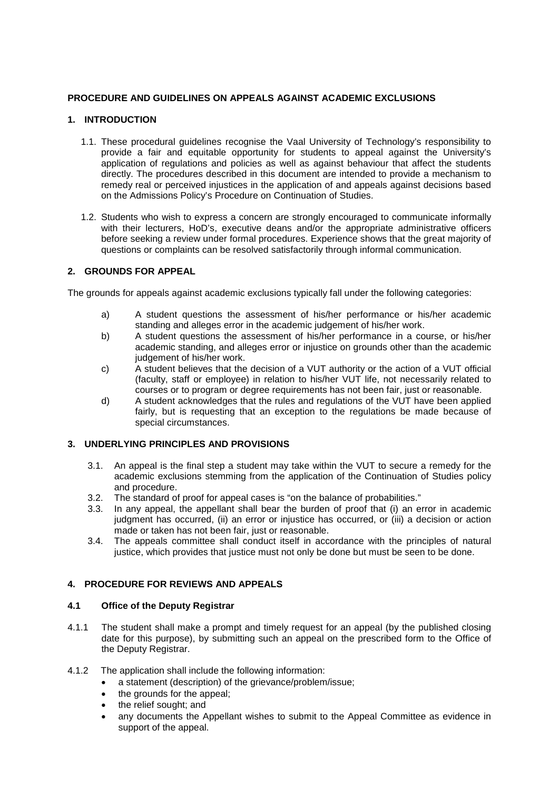# **PROCEDURE AND GUIDELINES ON APPEALS AGAINST ACADEMIC EXCLUSIONS**

# **1. INTRODUCTION**

- 1.1. These procedural guidelines recognise the Vaal University of Technology's responsibility to provide a fair and equitable opportunity for students to appeal against the University's application of regulations and policies as well as against behaviour that affect the students directly. The procedures described in this document are intended to provide a mechanism to remedy real or perceived injustices in the application of and appeals against decisions based on the Admissions Policy's Procedure on Continuation of Studies.
- 1.2. Students who wish to express a concern are strongly encouraged to communicate informally with their lecturers, HoD's, executive deans and/or the appropriate administrative officers before seeking a review under formal procedures. Experience shows that the great majority of questions or complaints can be resolved satisfactorily through informal communication.

# **2. GROUNDS FOR APPEAL**

The grounds for appeals against academic exclusions typically fall under the following categories:

- a) A student questions the assessment of his/her performance or his/her academic standing and alleges error in the academic judgement of his/her work.
- b) A student questions the assessment of his/her performance in a course, or his/her academic standing, and alleges error or injustice on grounds other than the academic judgement of his/her work.
- c) A student believes that the decision of a VUT authority or the action of a VUT official (faculty, staff or employee) in relation to his/her VUT life, not necessarily related to courses or to program or degree requirements has not been fair, just or reasonable.
- d) A student acknowledges that the rules and regulations of the VUT have been applied fairly, but is requesting that an exception to the regulations be made because of special circumstances.

### **3. UNDERLYING PRINCIPLES AND PROVISIONS**

- 3.1. An appeal is the final step a student may take within the VUT to secure a remedy for the academic exclusions stemming from the application of the Continuation of Studies policy and procedure.
- 3.2. The standard of proof for appeal cases is "on the balance of probabilities."
- 3.3. In any appeal, the appellant shall bear the burden of proof that (i) an error in academic judgment has occurred, (ii) an error or injustice has occurred, or (iii) a decision or action made or taken has not been fair, just or reasonable.
- 3.4. The appeals committee shall conduct itself in accordance with the principles of natural justice, which provides that justice must not only be done but must be seen to be done.

### **4. PROCEDURE FOR REVIEWS AND APPEALS**

### **4.1 Office of the Deputy Registrar**

- 4.1.1 The student shall make a prompt and timely request for an appeal (by the published closing date for this purpose), by submitting such an appeal on the prescribed form to the Office of the Deputy Registrar.
- 4.1.2 The application shall include the following information:
	- a statement (description) of the grievance/problem/issue;
	- the grounds for the appeal;
	- the relief sought; and
	- any documents the Appellant wishes to submit to the Appeal Committee as evidence in support of the appeal.